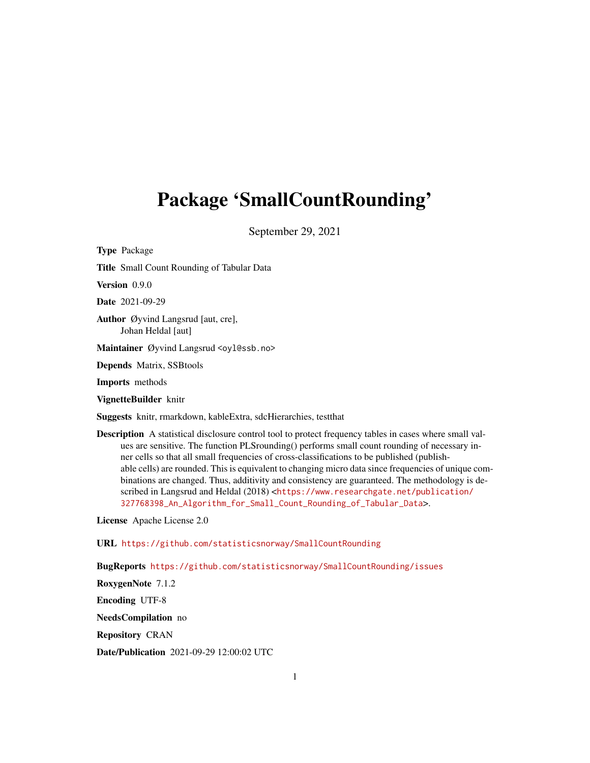# <span id="page-0-0"></span>Package 'SmallCountRounding'

September 29, 2021

Type Package Title Small Count Rounding of Tabular Data Version 0.9.0 Date 2021-09-29 Author Øyvind Langsrud [aut, cre], Johan Heldal [aut] Maintainer Øyvind Langsrud <oyl@ssb.no> Depends Matrix, SSBtools Imports methods VignetteBuilder knitr Suggests knitr, rmarkdown, kableExtra, sdcHierarchies, testthat Description A statistical disclosure control tool to protect frequency tables in cases where small val-

ues are sensitive. The function PLSrounding() performs small count rounding of necessary inner cells so that all small frequencies of cross-classifications to be published (publishable cells) are rounded. This is equivalent to changing micro data since frequencies of unique combinations are changed. Thus, additivity and consistency are guaranteed. The methodology is described in Langsrud and Heldal (2018) <[https://www.researchgate.net/publication/](https://www.researchgate.net/publication/327768398_An_Algorithm_for_Small_Count_Rounding_of_Tabular_Data) [327768398\\_An\\_Algorithm\\_for\\_Small\\_Count\\_Rounding\\_of\\_Tabular\\_Data](https://www.researchgate.net/publication/327768398_An_Algorithm_for_Small_Count_Rounding_of_Tabular_Data)>.

License Apache License 2.0

URL <https://github.com/statisticsnorway/SmallCountRounding>

BugReports <https://github.com/statisticsnorway/SmallCountRounding/issues>

RoxygenNote 7.1.2

Encoding UTF-8

NeedsCompilation no

Repository CRAN

Date/Publication 2021-09-29 12:00:02 UTC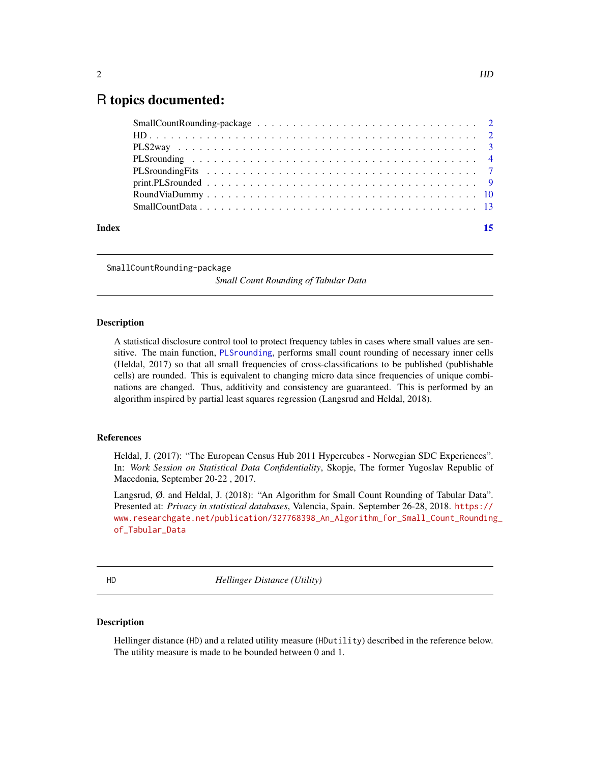# <span id="page-1-0"></span>R topics documented:

| Index | 15 |
|-------|----|

SmallCountRounding-package

*Small Count Rounding of Tabular Data*

# Description

A statistical disclosure control tool to protect frequency tables in cases where small values are sensitive. The main function, [PLSrounding](#page-3-1), performs small count rounding of necessary inner cells (Heldal, 2017) so that all small frequencies of cross-classifications to be published (publishable cells) are rounded. This is equivalent to changing micro data since frequencies of unique combinations are changed. Thus, additivity and consistency are guaranteed. This is performed by an algorithm inspired by partial least squares regression (Langsrud and Heldal, 2018).

# References

Heldal, J. (2017): "The European Census Hub 2011 Hypercubes - Norwegian SDC Experiences". In: *Work Session on Statistical Data Confidentiality*, Skopje, The former Yugoslav Republic of Macedonia, September 20-22 , 2017.

Langsrud, Ø. and Heldal, J. (2018): "An Algorithm for Small Count Rounding of Tabular Data". Presented at: *Privacy in statistical databases*, Valencia, Spain. September 26-28, 2018. [https://](https://www.researchgate.net/publication/327768398_An_Algorithm_for_Small_Count_Rounding_of_Tabular_Data) [www.researchgate.net/publication/327768398\\_An\\_Algorithm\\_for\\_Small\\_Count\\_Rounding](https://www.researchgate.net/publication/327768398_An_Algorithm_for_Small_Count_Rounding_of_Tabular_Data)\_ [of\\_Tabular\\_Data](https://www.researchgate.net/publication/327768398_An_Algorithm_for_Small_Count_Rounding_of_Tabular_Data)

HD *Hellinger Distance (Utility)*

# <span id="page-1-1"></span>Description

Hellinger distance (HD) and a related utility measure (HDutility) described in the reference below. The utility measure is made to be bounded between 0 and 1.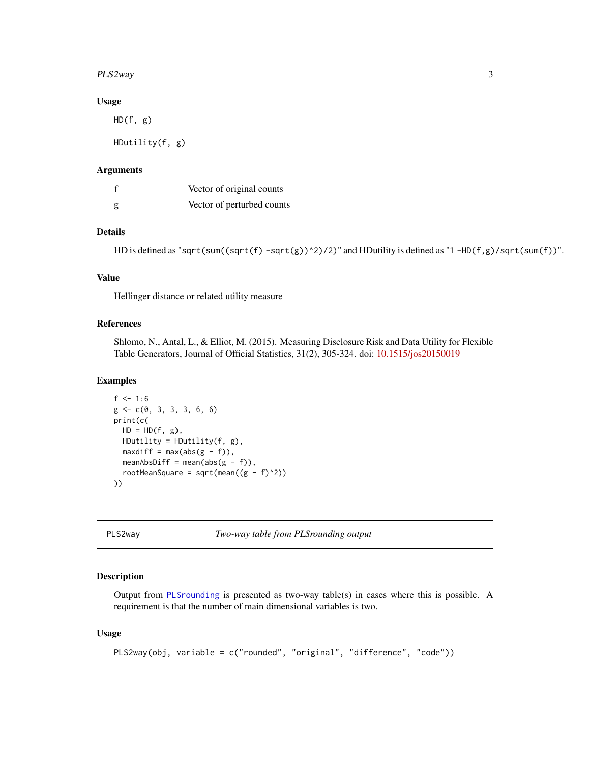#### <span id="page-2-0"></span>PLS2way 3

### Usage

HD(f, g)

HDutility(f, g)

### Arguments

| $\mathsf{f}$ | Vector of original counts  |
|--------------|----------------------------|
| g            | Vector of perturbed counts |

# Details

HD is defined as "sqrt(sum((sqrt(f) -sqrt(g))^2)/2)" and HDutility is defined as "1 -HD(f,g)/sqrt(sum(f))".

# Value

Hellinger distance or related utility measure

# References

Shlomo, N., Antal, L., & Elliot, M. (2015). Measuring Disclosure Risk and Data Utility for Flexible Table Generators, Journal of Official Statistics, 31(2), 305-324. doi: [10.1515/jos20150019](https://doi.org/10.1515/jos-2015-0019)

# Examples

```
f \le -1:6g \leftarrow c(\emptyset, 3, 3, 3, 6, 6)print(c(
  HD = HD(f, g),
  HDutility = HDutility(f, g),
  maxdiff = max(abs(g - f)),meanAbsDiff = mean(abs(g - f)),
  rootMeanSquare = sqrt(mean((g - f)^2))
))
```
<span id="page-2-1"></span>PLS2way *Two-way table from PLSrounding output*

#### Description

Output from [PLSrounding](#page-3-1) is presented as two-way table(s) in cases where this is possible. A requirement is that the number of main dimensional variables is two.

#### Usage

```
PLS2way(obj, variable = c("rounded", "original", "difference", "code"))
```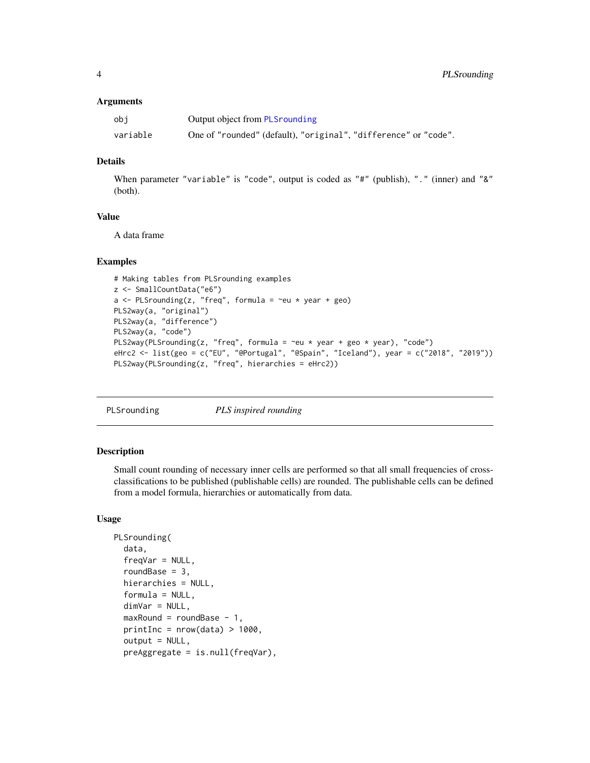#### <span id="page-3-0"></span>**Arguments**

| obi      | Output object from PLS rounding                                 |
|----------|-----------------------------------------------------------------|
| variable | One of "rounded" (default), "original", "difference" or "code". |

# Details

When parameter "variable" is "code", output is coded as "#" (publish), "." (inner) and "&" (both).

# Value

A data frame

# Examples

```
# Making tables from PLSrounding examples
z <- SmallCountData("e6")
a \leq PLSrounding(z, "freq", formula = \simeu * year + geo)
PLS2way(a, "original")
PLS2way(a, "difference")
PLS2way(a, "code")
PLS2way(PLSrounding(z, "freq", formula = \simeu * year + geo * year), "code")
eHrc2 <- list(geo = c("EU", "@Portugal", "@Spain", "Iceland"), year = c("2018", "2019"))
PLS2way(PLSrounding(z, "freq", hierarchies = eHrc2))
```
<span id="page-3-1"></span>

PLSrounding *PLS inspired rounding*

# Description

Small count rounding of necessary inner cells are performed so that all small frequencies of crossclassifications to be published (publishable cells) are rounded. The publishable cells can be defined from a model formula, hierarchies or automatically from data.

# Usage

```
PLSrounding(
  data,
  freqVar = NULL,roundBase = 3,
  hierarchies = NULL,
  formula = NULL,dimVar = NULL,
 maxRound = roundBase - 1,
 printInc = nrow(data) > 1000,
  output = NULL,preAggregate = is.null(freqVar),
```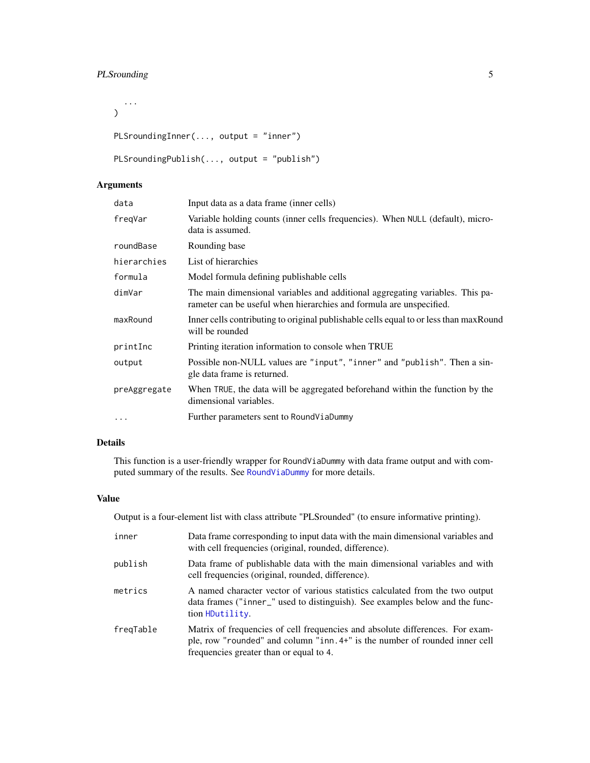# <span id="page-4-0"></span>PLSrounding 5

...  $\mathcal{L}$ 

```
PLSroundingInner(..., output = "inner")
```

```
PLSroundingPublish(..., output = "publish")
```
# Arguments

| data         | Input data as a data frame (inner cells)                                                                                                             |
|--------------|------------------------------------------------------------------------------------------------------------------------------------------------------|
| freqVar      | Variable holding counts (inner cells frequencies). When NULL (default), micro-<br>data is assumed.                                                   |
| roundBase    | Rounding base                                                                                                                                        |
| hierarchies  | List of hierarchies                                                                                                                                  |
| formula      | Model formula defining publishable cells                                                                                                             |
| dimVar       | The main dimensional variables and additional aggregating variables. This pa-<br>rameter can be useful when hierarchies and formula are unspecified. |
| maxRound     | Inner cells contributing to original publishable cells equal to or less than max Round<br>will be rounded                                            |
| printInc     | Printing iteration information to console when TRUE                                                                                                  |
| output       | Possible non-NULL values are "input", "inner" and "publish". Then a sin-<br>gle data frame is returned.                                              |
| preAggregate | When TRUE, the data will be aggregated beforehand within the function by the<br>dimensional variables.                                               |
| $\cdots$     | Further parameters sent to RoundViaDummy                                                                                                             |
|              |                                                                                                                                                      |

# Details

This function is a user-friendly wrapper for RoundViaDummy with data frame output and with computed summary of the results. See [RoundViaDummy](#page-9-1) for more details.

# Value

Output is a four-element list with class attribute "PLSrounded" (to ensure informative printing).

| inner     | Data frame corresponding to input data with the main dimensional variables and<br>with cell frequencies (original, rounded, difference).                                                                |
|-----------|---------------------------------------------------------------------------------------------------------------------------------------------------------------------------------------------------------|
| publish   | Data frame of publishable data with the main dimensional variables and with<br>cell frequencies (original, rounded, difference).                                                                        |
| metrics   | A named character vector of various statistics calculated from the two output<br>data frames ("inner_" used to distinguish). See examples below and the func-<br>tion HDutility.                        |
| freqTable | Matrix of frequencies of cell frequencies and absolute differences. For exam-<br>ple, row "rounded" and column "inn. 4+" is the number of rounded inner cell<br>frequencies greater than or equal to 4. |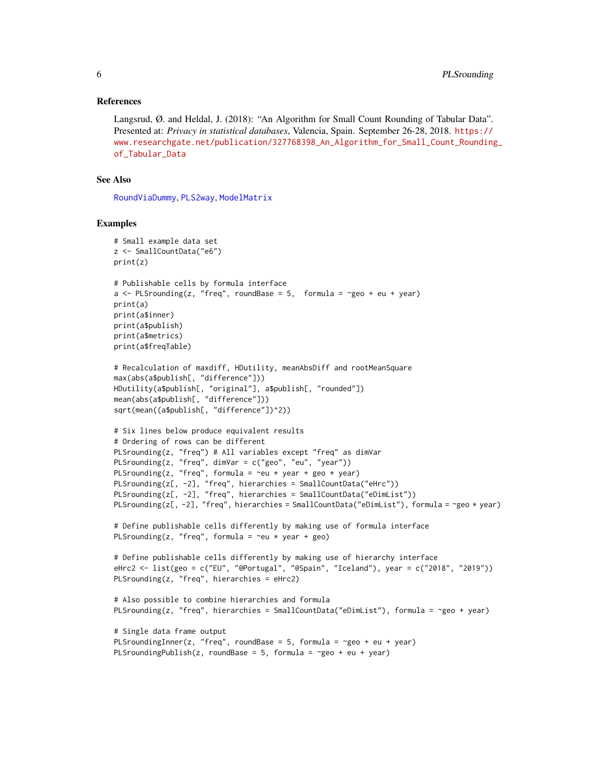# <span id="page-5-0"></span>References

Langsrud, Ø. and Heldal, J. (2018): "An Algorithm for Small Count Rounding of Tabular Data". Presented at: *Privacy in statistical databases*, Valencia, Spain. September 26-28, 2018. [https://](https://www.researchgate.net/publication/327768398_An_Algorithm_for_Small_Count_Rounding_of_Tabular_Data) [www.researchgate.net/publication/327768398\\_An\\_Algorithm\\_for\\_Small\\_Count\\_Rounding](https://www.researchgate.net/publication/327768398_An_Algorithm_for_Small_Count_Rounding_of_Tabular_Data)\_ [of\\_Tabular\\_Data](https://www.researchgate.net/publication/327768398_An_Algorithm_for_Small_Count_Rounding_of_Tabular_Data)

# See Also

[RoundViaDummy](#page-9-1), [PLS2way](#page-2-1), [ModelMatrix](#page-0-0)

#### Examples

```
# Small example data set
z <- SmallCountData("e6")
print(z)
# Publishable cells by formula interface
a \leq PLSrounding(z, "freq", roundBase = 5, formula = \leqgeo + eu + year)
print(a)
print(a$inner)
print(a$publish)
print(a$metrics)
print(a$freqTable)
# Recalculation of maxdiff, HDutility, meanAbsDiff and rootMeanSquare
max(abs(a$publish[, "difference"]))
HDutility(a$publish[, "original"], a$publish[, "rounded"])
mean(abs(a$publish[, "difference"]))
sqrt(mean((a$publish[, "difference"])^2))
# Six lines below produce equivalent results
# Ordering of rows can be different
PLSrounding(z, "freq") # All variables except "freq" as dimVar
PLSrounding(z, "freq", dimVar = c("geo", "eu", "year"))
PLSrounding(z, "freq", formula = \simeu * year + geo * year)
PLSrounding(z[, -2], "freq", hierarchies = SmallCountData("eHrc"))
PLSrounding(z[, -2], "freq", hierarchies = SmallCountData("eDimList"))
PLSrounding(z[, -2], "freq", hierarchies = SmallCountData("eDimList"), formula = ~geo * year)
# Define publishable cells differently by making use of formula interface
PLSrounding(z, "freq", formula = \text{reu} \times \text{year} + \text{geo})
# Define publishable cells differently by making use of hierarchy interface
eHrc2 <- list(geo = c("EU", "@Portugal", "@Spain", "Iceland"), year = c("2018", "2019"))
PLSrounding(z, "freq", hierarchies = eHrc2)
# Also possible to combine hierarchies and formula
PLSrounding(z, "freq", hierarchies = SmallCountData("eDimList"), formula = ~geo + year)
# Single data frame output
PLSroundingInner(z, "freq", roundBase = 5, formula = \gammageo + eu + year)
PLSroundingPublish(z, roundBase = 5, formula = \simgeo + eu + year)
```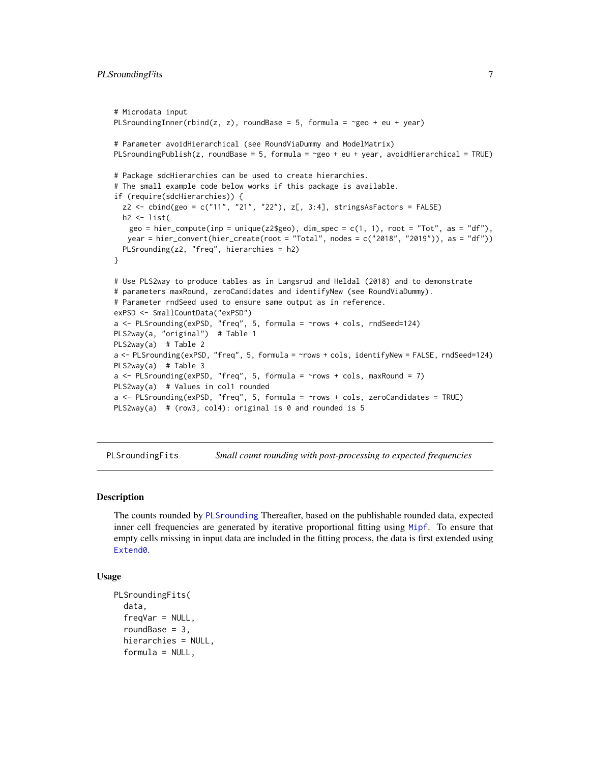```
# Microdata input
PLSroundingInner(rbind(z, z), roundBase = 5, formula = \simgeo + eu + year)
# Parameter avoidHierarchical (see RoundViaDummy and ModelMatrix)
PLSroundingPublish(z, roundBase = 5, formula = \gammageo + eu + year, avoidHierarchical = TRUE)
# Package sdcHierarchies can be used to create hierarchies.
# The small example code below works if this package is available.
if (require(sdcHierarchies)) {
  z2 <- cbind(geo = c("11", "21", "22"), z[, 3:4], stringsAsFactors = FALSE)
  h2 \leftarrow list(geo = hier_compute(inp = unique(z2$geo), dim_spec = c(1, 1), root = "Tot", as = "df"),
   year = hier_convert(hier_create(root = "Total", nodes = c("2018", "2019")), as = "df"))
  PLSrounding(z2, "freq", hierarchies = h2)
}
# Use PLS2way to produce tables as in Langsrud and Heldal (2018) and to demonstrate
# parameters maxRound, zeroCandidates and identifyNew (see RoundViaDummy).
# Parameter rndSeed used to ensure same output as in reference.
exPSD <- SmallCountData("exPSD")
a \leftarrow PLSrounding(exPSD, "freq", 5, formula = \simrows + cols, rndSeed=124)
PLS2way(a, "original") # Table 1
PLS2way(a) # Table 2
a <- PLSrounding(exPSD, "freq", 5, formula = ~rows + cols, identifyNew = FALSE, rndSeed=124)
PLS2way(a) # Table 3
a \leq PLSrounding(exPSD, "freq", 5, formula = \gammaows + cols, maxRound = 7)
PLS2way(a) # Values in col1 rounded
a <- PLSrounding(exPSD, "freq", 5, formula = ~rows + cols, zeroCandidates = TRUE)
PLS2way(a) # (row3, col4): original is 0 and rounded is 5
```
PLSroundingFits *Small count rounding with post-processing to expected frequencies*

#### Description

The counts rounded by [PLSrounding](#page-3-1) Thereafter, based on the publishable rounded data, expected inner cell frequencies are generated by iterative proportional fitting using [Mipf](#page-0-0). To ensure that empty cells missing in input data are included in the fitting process, the data is first extended using Extend<sub>0</sub>.

# Usage

```
PLSroundingFits(
  data,
  freqVar = NULL,
  roundBase = 3,
  hierarchies = NULL,
  formula = NULL,
```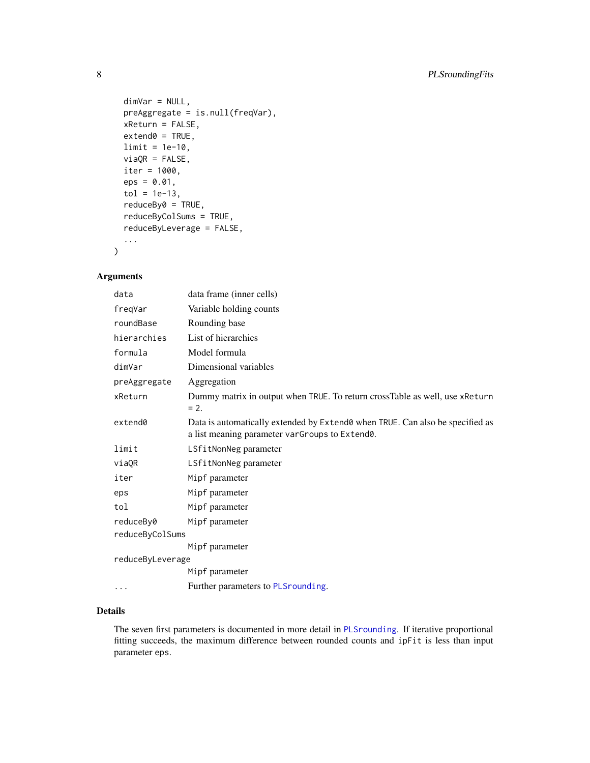```
dimVar = NULL,
preAggregate = is.null(freqVar),
xReturn = FALSE,
extend0 = TRUE,limit = 1e-10,viaQR = FALSE,iter = 1000,
eps = 0.01,tol = 1e-13,reduceBy0 = TRUE,
reduceByColSums = TRUE,
reduceByLeverage = FALSE,
...
```
# Arguments

)

| data             | data frame (inner cells)                                                                                                        |
|------------------|---------------------------------------------------------------------------------------------------------------------------------|
| freqVar          | Variable holding counts                                                                                                         |
| roundBase        | Rounding base                                                                                                                   |
| hierarchies      | List of hierarchies                                                                                                             |
| formula          | Model formula                                                                                                                   |
| dimVar           | Dimensional variables                                                                                                           |
| preAggregate     | Aggregation                                                                                                                     |
| xReturn          | Dummy matrix in output when TRUE. To return crossTable as well, use xReturn<br>$= 2.$                                           |
| extend0          | Data is automatically extended by Extend0 when TRUE. Can also be specified as<br>a list meaning parameter varGroups to Extend0. |
| limit            | LSfitNonNeg parameter                                                                                                           |
| viaOR            | LSfitNonNeg parameter                                                                                                           |
| iter             | Mipf parameter                                                                                                                  |
| eps              | Mipf parameter                                                                                                                  |
| tol              | Mipf parameter                                                                                                                  |
| reduceBy0        | Mipf parameter                                                                                                                  |
| reduceByColSums  |                                                                                                                                 |
|                  | Mipf parameter                                                                                                                  |
| reduceByLeverage |                                                                                                                                 |
|                  | Mipf parameter                                                                                                                  |
| .                | Further parameters to PLSrounding.                                                                                              |

# Details

The seven first parameters is documented in more detail in [PLSrounding](#page-3-1). If iterative proportional fitting succeeds, the maximum difference between rounded counts and ipFit is less than input parameter eps.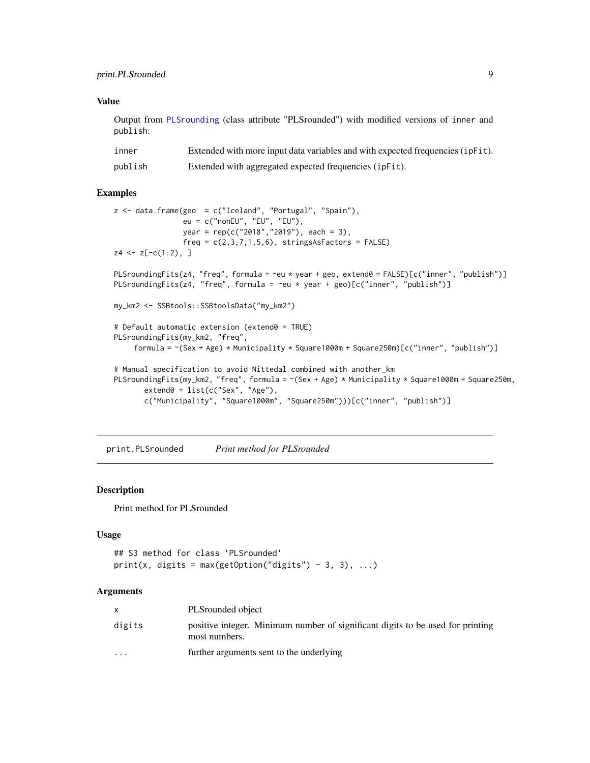# <span id="page-8-0"></span>Value

Output from [PLSrounding](#page-3-1) (class attribute "PLSrounded") with modified versions of inner and publish:

| inner   | Extended with more input data variables and with expected frequencies (ipFit). |
|---------|--------------------------------------------------------------------------------|
| publish | Extended with aggregated expected frequencies (ipFit).                         |

#### Examples

```
z \leq data.frame(geo = c("Iceland", "Portugal", "Spain"),
                eu = c("nonEU", "EU", "EU"),
                year = rep(c("2018","2019"), each = 3),
                freq = c(2,3,7,1,5,6), stringsAsFactors = FALSE)
z4 \leftarrow z[-c(1:2), ]PLSroundingFits(z4, "freq", formula = ~eu * year + geo, extend0 = FALSE)[c("inner", "publish")]
PLSroundingFits(z4, "freq", formula = \simeu * year + geo)[c("inner", "publish")]
my_km2 <- SSBtools::SSBtoolsData("my_km2")
# Default automatic extension (extend0 = TRUE)
PLSroundingFits(my_km2, "freq",
    formula = ~(Sex + Age) * Municipality * Square1000m + Square250m)[c("inner", "publish")]
# Manual specification to avoid Nittedal combined with another_km
PLSroundingFits(my_km2, "freq", formula = ~(Sex + Age) * Municipality * Square1000m + Square250m,
       extend@ = list(c("Sex", "Age"),c("Municipality", "Square1000m", "Square250m")))[c("inner", "publish")]
```
print.PLSrounded *Print method for PLSrounded*

# Description

Print method for PLSrounded

# Usage

```
## S3 method for class 'PLSrounded'
print(x, digits = max(getOption("digits") - 3, 3), ...)
```
# **Arguments**

|                         | PLSrounded object                                                                               |
|-------------------------|-------------------------------------------------------------------------------------------------|
| digits                  | positive integer. Minimum number of significant digits to be used for printing<br>most numbers. |
| $\cdot$ $\cdot$ $\cdot$ | further arguments sent to the underlying                                                        |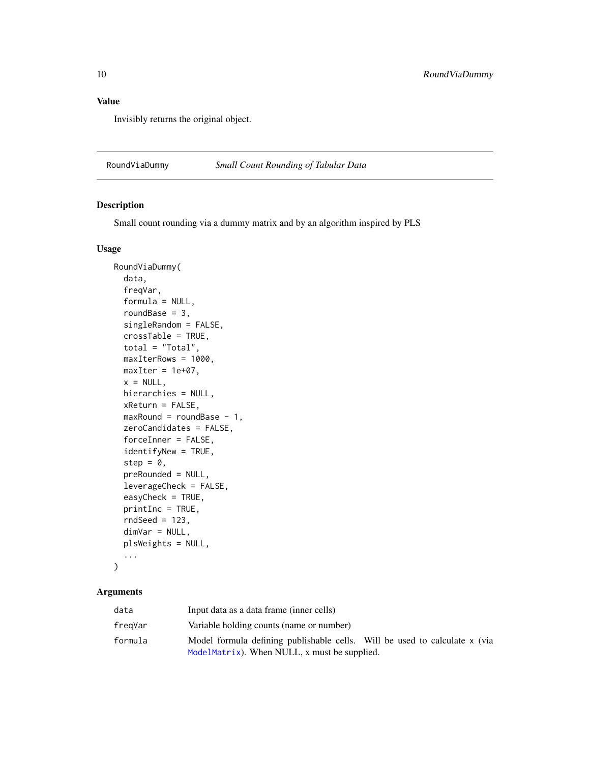# <span id="page-9-0"></span>Value

Invisibly returns the original object.

<span id="page-9-1"></span>RoundViaDummy *Small Count Rounding of Tabular Data*

# Description

Small count rounding via a dummy matrix and by an algorithm inspired by PLS

# Usage

```
RoundViaDummy(
  data,
  freqVar,
  formula = NULL,
  roundBase = 3,
  singleRandom = FALSE,
  crossTable = TRUE,
  total = "Total",
 maxIterRows = 1000,
 maxIter = 1e+07,x = NULL,hierarchies = NULL,
 xReturn = FALSE,
 maxRound = roundBase - 1,
 zeroCandidates = FALSE,
  forceInner = FALSE,
  identifyNew = TRUE,
  step = \theta,
  preRounded = NULL,
  leverageCheck = FALSE,
  easyCheck = TRUE,
 printInc = TRUE,
  rndSeed = 123,dimVar = NULL,
 plsWeights = NULL,
  ...
```

```
\mathcal{E}
```
# Arguments

| data    | Input data as a data frame (inner cells)                                   |  |
|---------|----------------------------------------------------------------------------|--|
| fregVar | Variable holding counts (name or number)                                   |  |
| formula | Model formula defining publishable cells. Will be used to calculate x (via |  |
|         | ModelMatrix). When NULL, $x$ must be supplied.                             |  |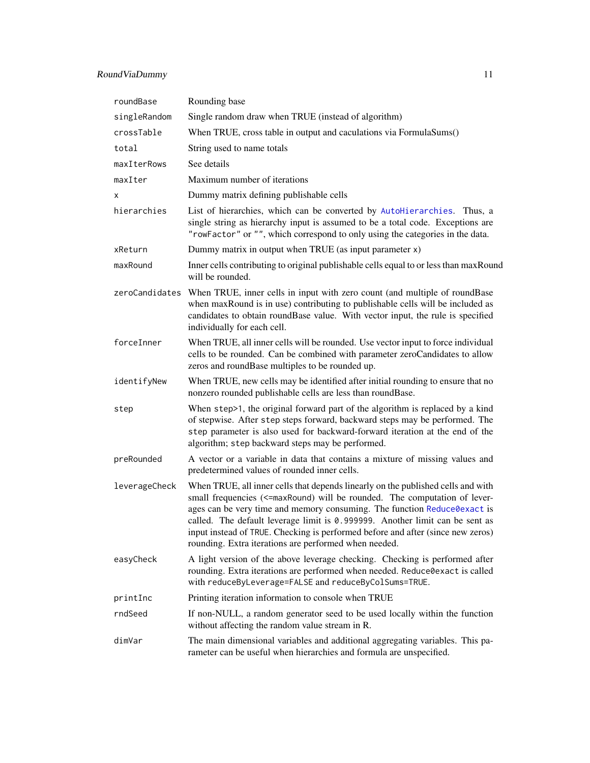# <span id="page-10-0"></span>RoundViaDummy 11

| roundBase      | Rounding base                                                                                                                                                                                                                                                                                                                                                                                                                                                             |
|----------------|---------------------------------------------------------------------------------------------------------------------------------------------------------------------------------------------------------------------------------------------------------------------------------------------------------------------------------------------------------------------------------------------------------------------------------------------------------------------------|
| singleRandom   | Single random draw when TRUE (instead of algorithm)                                                                                                                                                                                                                                                                                                                                                                                                                       |
| crossTable     | When TRUE, cross table in output and caculations via FormulaSums()                                                                                                                                                                                                                                                                                                                                                                                                        |
| total          | String used to name totals                                                                                                                                                                                                                                                                                                                                                                                                                                                |
| maxIterRows    | See details                                                                                                                                                                                                                                                                                                                                                                                                                                                               |
| maxIter        | Maximum number of iterations                                                                                                                                                                                                                                                                                                                                                                                                                                              |
| х              | Dummy matrix defining publishable cells                                                                                                                                                                                                                                                                                                                                                                                                                                   |
| hierarchies    | List of hierarchies, which can be converted by AutoHierarchies. Thus, a<br>single string as hierarchy input is assumed to be a total code. Exceptions are<br>"rowFactor" or "", which correspond to only using the categories in the data.                                                                                                                                                                                                                                |
| xReturn        | Dummy matrix in output when TRUE (as input parameter x)                                                                                                                                                                                                                                                                                                                                                                                                                   |
| maxRound       | Inner cells contributing to original publishable cells equal to or less than maxRound<br>will be rounded.                                                                                                                                                                                                                                                                                                                                                                 |
| zeroCandidates | When TRUE, inner cells in input with zero count (and multiple of round Base<br>when maxRound is in use) contributing to publishable cells will be included as<br>candidates to obtain roundBase value. With vector input, the rule is specified<br>individually for each cell.                                                                                                                                                                                            |
| forceInner     | When TRUE, all inner cells will be rounded. Use vector input to force individual<br>cells to be rounded. Can be combined with parameter zeroCandidates to allow<br>zeros and roundBase multiples to be rounded up.                                                                                                                                                                                                                                                        |
| identifyNew    | When TRUE, new cells may be identified after initial rounding to ensure that no<br>nonzero rounded publishable cells are less than roundBase.                                                                                                                                                                                                                                                                                                                             |
| step           | When step>1, the original forward part of the algorithm is replaced by a kind<br>of stepwise. After step steps forward, backward steps may be performed. The<br>step parameter is also used for backward-forward iteration at the end of the<br>algorithm; step backward steps may be performed.                                                                                                                                                                          |
| preRounded     | A vector or a variable in data that contains a mixture of missing values and<br>predetermined values of rounded inner cells.                                                                                                                                                                                                                                                                                                                                              |
| leverageCheck  | When TRUE, all inner cells that depends linearly on the published cells and with<br>small frequencies (<= maxRound) will be rounded. The computation of lever-<br>ages can be very time and memory consuming. The function Reduce0exact is<br>called. The default leverage limit is $0.999999$ . Another limit can be sent as<br>input instead of TRUE. Checking is performed before and after (since new zeros)<br>rounding. Extra iterations are performed when needed. |
| easyCheck      | A light version of the above leverage checking. Checking is performed after<br>rounding. Extra iterations are performed when needed. Reduce0exact is called<br>with reduceByLeverage=FALSE and reduceByColSums=TRUE.                                                                                                                                                                                                                                                      |
| printInc       | Printing iteration information to console when TRUE                                                                                                                                                                                                                                                                                                                                                                                                                       |
| rndSeed        | If non-NULL, a random generator seed to be used locally within the function<br>without affecting the random value stream in R.                                                                                                                                                                                                                                                                                                                                            |
| dimVar         | The main dimensional variables and additional aggregating variables. This pa-<br>rameter can be useful when hierarchies and formula are unspecified.                                                                                                                                                                                                                                                                                                                      |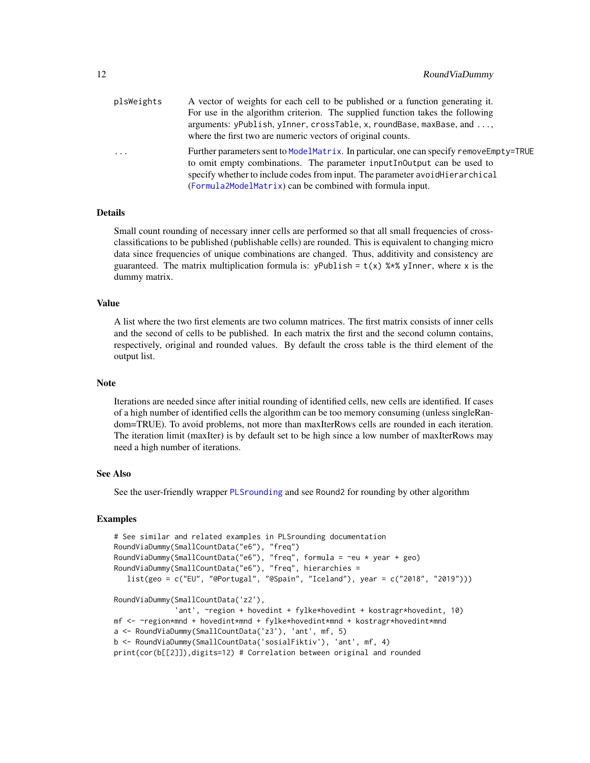<span id="page-11-0"></span>

| plsWeights | A vector of weights for each cell to be published or a function generating it.                                                                                      |
|------------|---------------------------------------------------------------------------------------------------------------------------------------------------------------------|
|            | For use in the algorithm criterion. The supplied function takes the following                                                                                       |
|            | arguments: yPublish, yInner, crossTable, x, roundBase, maxBase, and ,                                                                                               |
|            | where the first two are numeric vectors of original counts.                                                                                                         |
| $\cdot$    | Further parameters sent to ModelMatrix. In particular, one can specify removeEmpty=TRUE<br>to omit empty combinations. The parameter input in Dutput can be used to |
|            | specify whether to include codes from input. The parameter avoid Hierarchical                                                                                       |
|            | (Formula2ModelMatrix) can be combined with formula input.                                                                                                           |

# Details

Small count rounding of necessary inner cells are performed so that all small frequencies of crossclassifications to be published (publishable cells) are rounded. This is equivalent to changing micro data since frequencies of unique combinations are changed. Thus, additivity and consistency are guaranteed. The matrix multiplication formula is: yPublish =  $t(x)$  %\*% yInner, where x is the dummy matrix.

# Value

A list where the two first elements are two column matrices. The first matrix consists of inner cells and the second of cells to be published. In each matrix the first and the second column contains, respectively, original and rounded values. By default the cross table is the third element of the output list.

#### Note

Iterations are needed since after initial rounding of identified cells, new cells are identified. If cases of a high number of identified cells the algorithm can be too memory consuming (unless singleRandom=TRUE). To avoid problems, not more than maxIterRows cells are rounded in each iteration. The iteration limit (maxIter) is by default set to be high since a low number of maxIterRows may need a high number of iterations.

# See Also

See the user-friendly wrapper [PLSrounding](#page-3-1) and see Round2 for rounding by other algorithm

#### Examples

```
# See similar and related examples in PLSrounding documentation
RoundViaDummy(SmallCountData("e6"), "freq")
RoundViaDummy(SmallCountData("e6"), "freq", formula = ~eu * year + geo)
RoundViaDummy(SmallCountData("e6"), "freq", hierarchies =
   list(geo = c("EU", "@Portugal", "@Spain", "Iceland"), year = c("2018", "2019")))
RoundViaDummy(SmallCountData('z2'),
              'ant', ~region + hovedint + fylke*hovedint + kostragr*hovedint, 10)
mf <- ~region*mnd + hovedint*mnd + fylke*hovedint*mnd + kostragr*hovedint*mnd
a <- RoundViaDummy(SmallCountData('z3'), 'ant', mf, 5)
b <- RoundViaDummy(SmallCountData('sosialFiktiv'), 'ant', mf, 4)
print(cor(b[[2]]),digits=12) # Correlation between original and rounded
```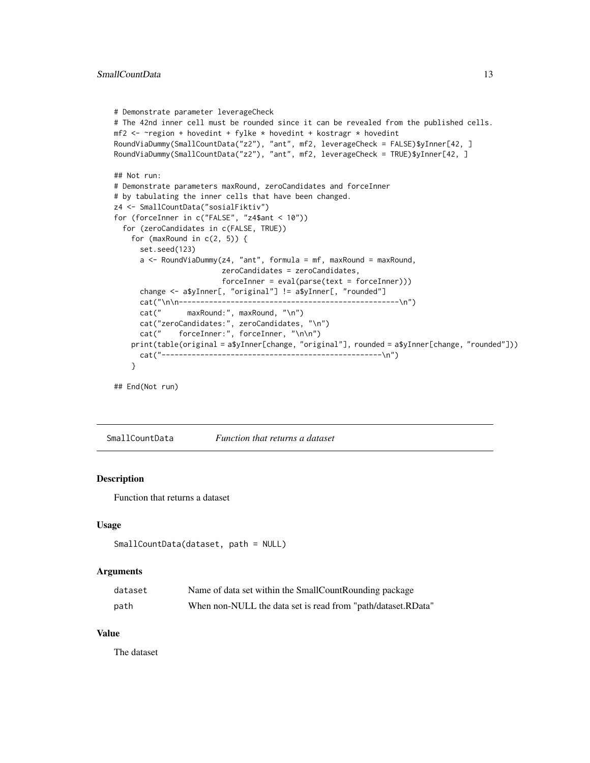```
# Demonstrate parameter leverageCheck
# The 42nd inner cell must be rounded since it can be revealed from the published cells.
mf2 < - -region + hovedint + fylke * hovedint + kostragr * hovedint
RoundViaDummy(SmallCountData("z2"), "ant", mf2, leverageCheck = FALSE)$yInner[42, ]
RoundViaDummy(SmallCountData("z2"), "ant", mf2, leverageCheck = TRUE)$yInner[42, ]
## Not run:
# Demonstrate parameters maxRound, zeroCandidates and forceInner
# by tabulating the inner cells that have been changed.
z4 <- SmallCountData("sosialFiktiv")
for (forceInner in c("FALSE", "z4$ant < 10"))
 for (zeroCandidates in c(FALSE, TRUE))
    for (maxRound in c(2, 5)) {
     set.seed(123)
     a \leq RoundViaDummy(z4, "ant", formula = mf, maxRound = maxRound,
                        zeroCandidates = zeroCandidates,
                        forceInner = eval(parse(text = forceInner)))
     change <- a$yInner[, "original"] != a$yInner[, "rounded"]
     cat("\n\n---------------------------------------------------\n")
     cat(" maxRound:", maxRound, "\n")
     cat("zeroCandidates:", zeroCandidates, "\n")
     cat(" forceInner:", forceInner, "\n\n")
    print(table(original = a$yInner[change, "original"], rounded = a$yInner[change, "rounded"]))
     cat("---------------------------------------------------\n")
    }
```

```
## End(Not run)
```
SmallCountData *Function that returns a dataset*

#### Description

Function that returns a dataset

#### Usage

```
SmallCountData(dataset, path = NULL)
```
#### Arguments

| dataset | Name of data set within the SmallCountRounding package       |
|---------|--------------------------------------------------------------|
| path    | When non-NULL the data set is read from "path/dataset.RData" |

#### Value

The dataset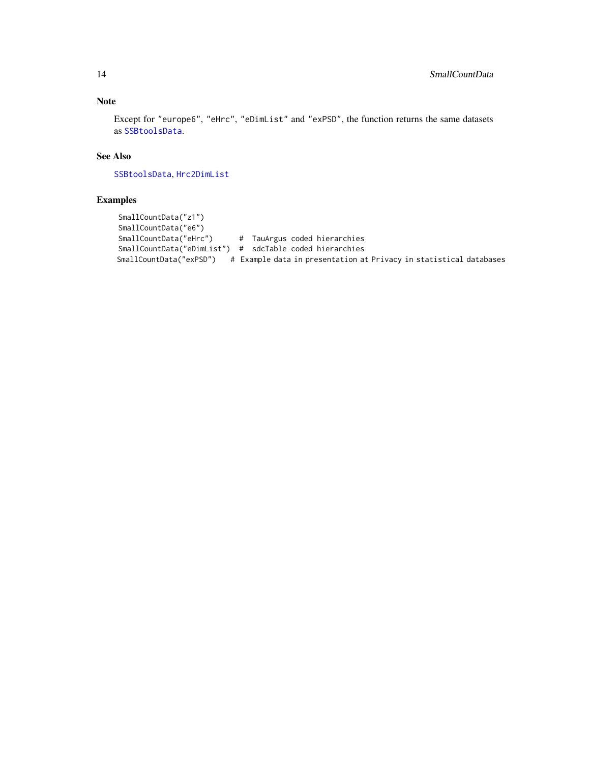# <span id="page-13-0"></span>Note

Except for "europe6", "eHrc", "eDimList" and "exPSD", the function returns the same datasets as [SSBtoolsData](#page-0-0).

# See Also

[SSBtoolsData](#page-0-0), [Hrc2DimList](#page-0-0)

# Examples

```
SmallCountData("z1")
SmallCountData("e6")
SmallCountData("eHrc") # TauArgus coded hierarchies
SmallCountData("eDimList") # sdcTable coded hierarchies
SmallCountData("exPSD") # Example data in presentation at Privacy in statistical databases
```